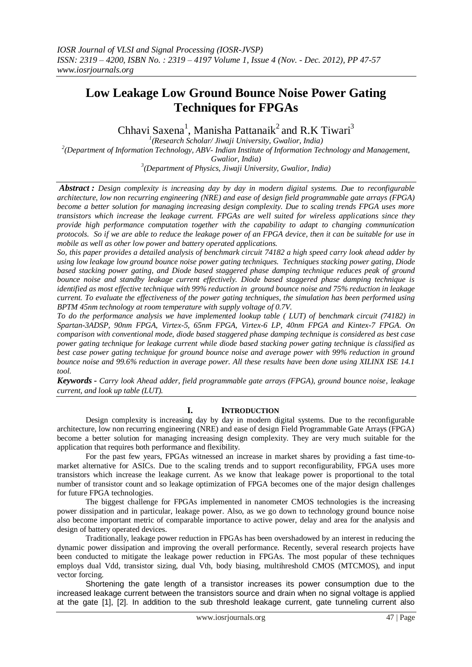# **Low Leakage Low Ground Bounce Noise Power Gating Techniques for FPGAs**

Chhavi Saxena<sup>1</sup>, Manisha Pattanaik<sup>2</sup> and R.K Tiwari<sup>3</sup>

 *(Research Scholar/ Jiwaji University, Gwalior, India) (Department of Information Technology, ABV- Indian Institute of Information Technology and Management, Gwalior, India) (Department of Physics, Jiwaji University, Gwalior, India)* 

*Abstract : Design complexity is increasing day by day in modern digital systems. Due to reconfigurable architecture, low non recurring engineering (NRE) and ease of design field programmable gate arrays (FPGA) become a better solution for managing increasing design complexity. Due to scaling trends FPGA uses more transistors which increase the leakage current. FPGAs are well suited for wireless applications since they provide high performance computation together with the capability to adapt to changing communication protocols. So if we are able to reduce the leakage power of an FPGA device, then it can be suitable for use in mobile as well as other low power and battery operated applications.*

*So, this paper provides a detailed analysis of benchmark circuit 74182 a high speed carry look ahead adder by using low leakage low ground bounce noise power gating techniques. Techniques stacking power gating, Diode based stacking power gating, and Diode based staggered phase damping technique reduces peak of ground bounce noise and standby leakage current effectively. Diode based staggered phase damping technique is identified as most effective technique with 99% reduction in ground bounce noise and 75% reduction in leakage current. To evaluate the effectiveness of the power gating techniques, the simulation has been performed using BPTM 45nm technology at room temperature with supply voltage of 0.7V.*

*To do the performance analysis we have implemented lookup table ( LUT) of benchmark circuit (74182) in Spartan-3ADSP, 90nm FPGA, Virtex-5, 65nm FPGA, Virtex-6 LP, 40nm FPGA and Kintex-7 FPGA. On comparison with conventional mode, diode based staggered phase damping technique is considered as best case power gating technique for leakage current while diode based stacking power gating technique is classified as best case power gating technique for ground bounce noise and average power with 99% reduction in ground bounce noise and 99.6% reduction in average power. All these results have been done using XILINX ISE 14.1 tool.*

*Keywords - Carry look Ahead adder, field programmable gate arrays (FPGA), ground bounce noise, leakage current, and look up table (LUT).*

# **I. INTRODUCTION**

Design complexity is increasing day by day in modern digital systems. Due to the reconfigurable architecture, low non recurring engineering (NRE) and ease of design Field Programmable Gate Arrays (FPGA) become a better solution for managing increasing design complexity. They are very much suitable for the application that requires both performance and flexibility.

For the past few years, FPGAs witnessed an increase in market shares by providing a fast time-tomarket alternative for ASICs. Due to the scaling trends and to support reconfigurability, FPGA uses more transistors which increase the leakage current. As we know that leakage power is proportional to the total number of transistor count and so leakage optimization of FPGA becomes one of the major design challenges for future FPGA technologies.

The biggest challenge for FPGAs implemented in nanometer CMOS technologies is the increasing power dissipation and in particular, leakage power. Also, as we go down to technology ground bounce noise also become important metric of comparable importance to active power, delay and area for the analysis and design of battery operated devices.

Traditionally, leakage power reduction in FPGAs has been overshadowed by an interest in reducing the dynamic power dissipation and improving the overall performance. Recently, several research projects have been conducted to mitigate the leakage power reduction in FPGAs. The most popular of these techniques employs dual Vdd, transistor sizing, dual Vth, body biasing, multihreshold CMOS (MTCMOS), and input vector forcing.

Shortening the gate length of a transistor increases its power consumption due to the increased leakage current between the transistors source and drain when no signal voltage is applied at the gate [1], [2]. In addition to the sub threshold leakage current, gate tunneling current also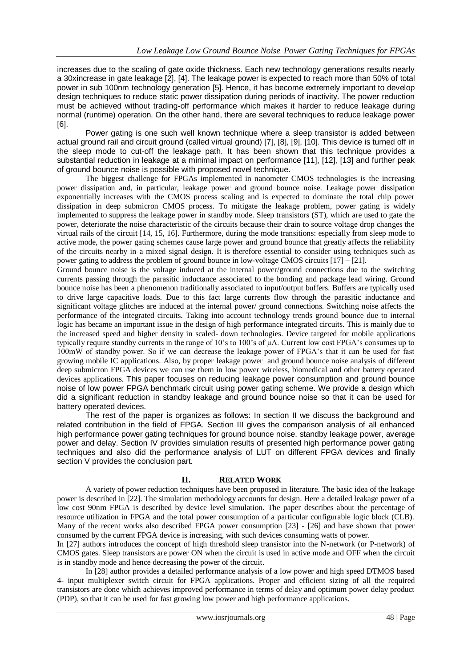increases due to the scaling of gate oxide thickness. Each new technology generations results nearly a 30xincrease in gate leakage [2], [4]. The leakage power is expected to reach more than 50% of total power in sub 100nm technology generation [5]. Hence, it has become extremely important to develop design techniques to reduce static power dissipation during periods of inactivity. The power reduction must be achieved without trading-off performance which makes it harder to reduce leakage during normal (runtime) operation. On the other hand, there are several techniques to reduce leakage power [6].

Power gating is one such well known technique where a sleep transistor is added between actual ground rail and circuit ground (called virtual ground) [7], [8], [9], [10]. This device is turned off in the sleep mode to cut-off the leakage path. It has been shown that this technique provides a substantial reduction in leakage at a minimal impact on performance [11], [12], [13] and further peak of ground bounce noise is possible with proposed novel technique.

The biggest challenge for FPGAs implemented in nanometer CMOS technologies is the increasing power dissipation and, in particular, leakage power and ground bounce noise. Leakage power dissipation exponentially increases with the CMOS process scaling and is expected to dominate the total chip power dissipation in deep submicron CMOS process. To mitigate the leakage problem, power gating is widely implemented to suppress the leakage power in standby mode. Sleep transistors (ST), which are used to gate the power, deteriorate the noise characteristic of the circuits because their drain to source voltage drop changes the virtual rails of the circuit [14, 15, 16]. Furthermore, during the mode transitions: especially from sleep mode to active mode, the power gating schemes cause large power and ground bounce that greatly affects the reliability of the circuits nearby in a mixed signal design. It is therefore essential to consider using techniques such as power gating to address the problem of ground bounce in low-voltage CMOS circuits [17] – [21].

Ground bounce noise is the voltage induced at the internal power/ground connections due to the switching currents passing through the parasitic inductance associated to the bonding and package lead wiring. Ground bounce noise has been a phenomenon traditionally associated to input/output buffers. Buffers are typically used to drive large capacitive loads. Due to this fact large currents flow through the parasitic inductance and significant voltage glitches are induced at the internal power/ ground connections. Switching noise affects the performance of the integrated circuits. Taking into account technology trends ground bounce due to internal logic has became an important issue in the design of high performance integrated circuits. This is mainly due to the increased speed and higher density in scaled- down technologies. Device targeted for mobile applications typically require standby currents in the range of 10's to 100's of µA. Current low cost FPGA's consumes up to 100mW of standby power. So if we can decrease the leakage power of FPGA's that it can be used for fast growing mobile IC applications. Also, by proper leakage power and ground bounce noise analysis of different deep submicron FPGA devices we can use them in low power wireless, biomedical and other battery operated devices applications. This paper focuses on reducing leakage power consumption and ground bounce noise of low power FPGA benchmark circuit using power gating scheme. We provide a design which did a significant reduction in standby leakage and ground bounce noise so that it can be used for battery operated devices.

The rest of the paper is organizes as follows: In section II we discuss the background and related contribution in the field of FPGA. Section III gives the comparison analysis of all enhanced high performance power gating techniques for ground bounce noise, standby leakage power, average power and delay. Section IV provides simulation results of presented high performance power gating techniques and also did the performance analysis of LUT on different FPGA devices and finally section V provides the conclusion part.

# **II. RELATED WORK**

A variety of power reduction techniques have been proposed in literature. The basic idea of the leakage power is described in [22]. The simulation methodology accounts for design. Here a detailed leakage power of a low cost 90nm FPGA is described by device level simulation. The paper describes about the percentage of resource utilization in FPGA and the total power consumption of a particular configurable logic block (CLB). Many of the recent works also described FPGA power consumption [23] - [26] and have shown that power consumed by the current FPGA device is increasing, with such devices consuming watts of power.

In [27] authors introduces the concept of high threshold sleep transistor into the N-network (or P-network) of CMOS gates. Sleep transistors are power ON when the circuit is used in active mode and OFF when the circuit is in standby mode and hence decreasing the power of the circuit.

In [28] author provides a detailed performance analysis of a low power and high speed DTMOS based 4- input multiplexer switch circuit for FPGA applications. Proper and efficient sizing of all the required transistors are done which achieves improved performance in terms of delay and optimum power delay product (PDP), so that it can be used for fast growing low power and high performance applications.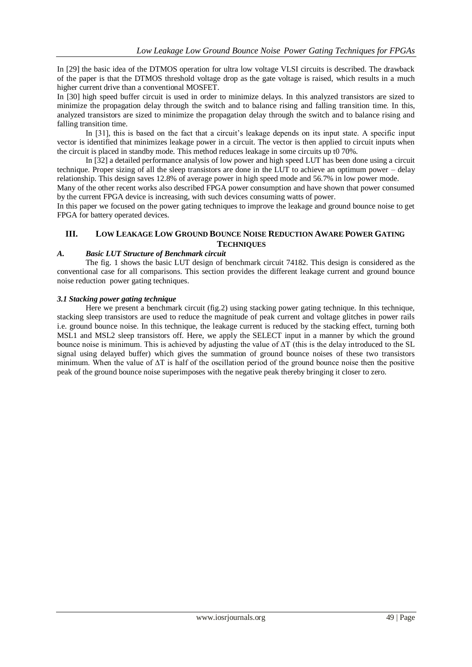In [29] the basic idea of the DTMOS operation for ultra low voltage VLSI circuits is described. The drawback of the paper is that the DTMOS threshold voltage drop as the gate voltage is raised, which results in a much higher current drive than a conventional MOSFET.

In [30] high speed buffer circuit is used in order to minimize delays. In this analyzed transistors are sized to minimize the propagation delay through the switch and to balance rising and falling transition time. In this, analyzed transistors are sized to minimize the propagation delay through the switch and to balance rising and falling transition time.

In [31], this is based on the fact that a circuit's leakage depends on its input state. A specific input vector is identified that minimizes leakage power in a circuit. The vector is then applied to circuit inputs when the circuit is placed in standby mode. This method reduces leakage in some circuits up t0 70%.

In [32] a detailed performance analysis of low power and high speed LUT has been done using a circuit technique. Proper sizing of all the sleep transistors are done in the LUT to achieve an optimum power – delay relationship. This design saves 12.8% of average power in high speed mode and 56.7% in low power mode.

Many of the other recent works also described FPGA power consumption and have shown that power consumed by the current FPGA device is increasing, with such devices consuming watts of power.

In this paper we focused on the power gating techniques to improve the leakage and ground bounce noise to get FPGA for battery operated devices.

# **III. LOW LEAKAGE LOW GROUND BOUNCE NOISE REDUCTION AWARE POWER GATING TECHNIQUES**

#### *A. Basic LUT Structure of Benchmark circuit*

The fig. 1 shows the basic LUT design of benchmark circuit 74182. This design is considered as the conventional case for all comparisons. This section provides the different leakage current and ground bounce noise reduction power gating techniques.

#### *3.1 Stacking power gating technique*

Here we present a benchmark circuit (fig.2) using stacking power gating technique. In this technique, stacking sleep transistors are used to reduce the magnitude of peak current and voltage glitches in power rails i.e. ground bounce noise. In this technique, the leakage current is reduced by the stacking effect, turning both MSL1 and MSL2 sleep transistors off. Here, we apply the SELECT input in a manner by which the ground bounce noise is minimum. This is achieved by adjusting the value of ∆T (this is the delay introduced to the SL signal using delayed buffer) which gives the summation of ground bounce noises of these two transistors minimum. When the value of ∆T is half of the oscillation period of the ground bounce noise then the positive peak of the ground bounce noise superimposes with the negative peak thereby bringing it closer to zero.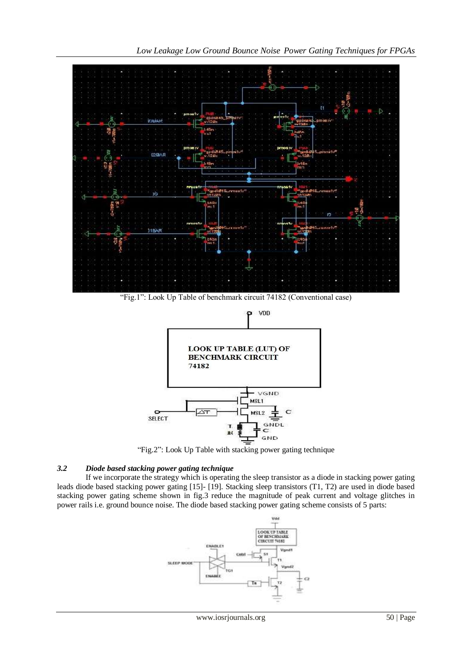



"Fig.2": Look Up Table with stacking power gating technique

# *3.2 Diode based stacking power gating technique*

If we incorporate the strategy which is operating the sleep transistor as a diode in stacking power gating leads diode based stacking power gating [15]- [19]. Stacking sleep transistors (T1, T2) are used in diode based stacking power gating scheme shown in fig.3 reduce the magnitude of peak current and voltage glitches in power rails i.e. ground bounce noise. The diode based stacking power gating scheme consists of 5 parts:

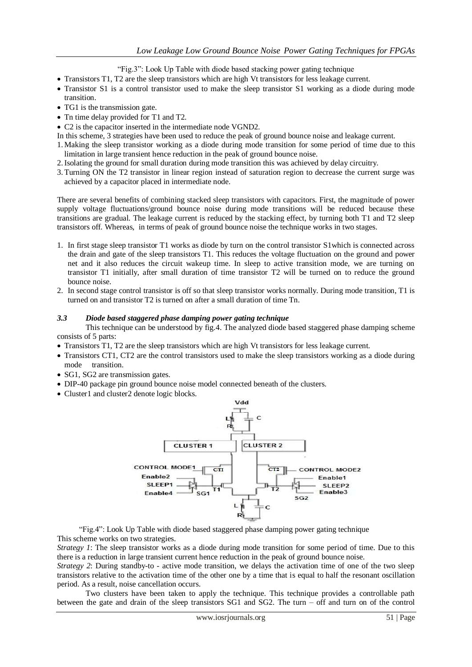"Fig.3": Look Up Table with diode based stacking power gating technique

- Transistors T1, T2 are the sleep transistors which are high Vt transistors for less leakage current.
- Transistor S1 is a control transistor used to make the sleep transistor S1 working as a diode during mode transition.
- TG1 is the transmission gate.
- Tn time delay provided for T1 and T2.
- C2 is the capacitor inserted in the intermediate node VGND2.
- In this scheme, 3 strategies have been used to reduce the peak of ground bounce noise and leakage current.
- 1. Making the sleep transistor working as a diode during mode transition for some period of time due to this limitation in large transient hence reduction in the peak of ground bounce noise.
- 2.Isolating the ground for small duration during mode transition this was achieved by delay circuitry.
- 3. Turning ON the T2 transistor in linear region instead of saturation region to decrease the current surge was achieved by a capacitor placed in intermediate node.

There are several benefits of combining stacked sleep transistors with capacitors. First, the magnitude of power supply voltage fluctuations/ground bounce noise during mode transitions will be reduced because these transitions are gradual. The leakage current is reduced by the stacking effect, by turning both T1 and T2 sleep transistors off. Whereas, in terms of peak of ground bounce noise the technique works in two stages.

- 1. In first stage sleep transistor T1 works as diode by turn on the control transistor S1which is connected across the drain and gate of the sleep transistors T1. This reduces the voltage fluctuation on the ground and power net and it also reduces the circuit wakeup time. In sleep to active transition mode, we are turning on transistor T1 initially, after small duration of time transistor T2 will be turned on to reduce the ground bounce noise.
- 2. In second stage control transistor is off so that sleep transistor works normally. During mode transition, T1 is turned on and transistor T2 is turned on after a small duration of time Tn.

#### *3.3 Diode based staggered phase damping power gating technique*

This technique can be understood by fig.4. The analyzed diode based staggered phase damping scheme consists of 5 parts:

- Transistors T1, T2 are the sleep transistors which are high Vt transistors for less leakage current.
- Transistors CT1, CT2 are the control transistors used to make the sleep transistors working as a diode during mode transition.
- SG1, SG2 are transmission gates.
- DIP-40 package pin ground bounce noise model connected beneath of the clusters.
- Cluster1 and cluster2 denote logic blocks.



 "Fig.4": Look Up Table with diode based staggered phase damping power gating technique This scheme works on two strategies.

*Strategy 1*: The sleep transistor works as a diode during mode transition for some period of time. Due to this there is a reduction in large transient current hence reduction in the peak of ground bounce noise.

*Strategy 2*: During standby-to - active mode transition, we delays the activation time of one of the two sleep transistors relative to the activation time of the other one by a time that is equal to half the resonant oscillation period. As a result, noise cancellation occurs.

Two clusters have been taken to apply the technique. This technique provides a controllable path between the gate and drain of the sleep transistors SG1 and SG2. The turn – off and turn on of the control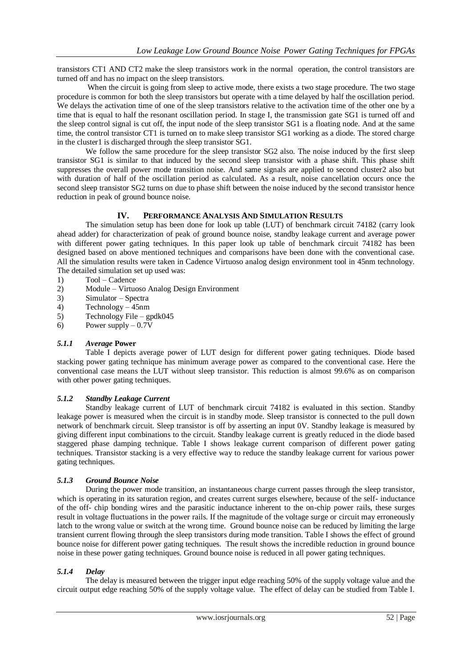transistors CT1 AND CT2 make the sleep transistors work in the normal operation, the control transistors are turned off and has no impact on the sleep transistors.

When the circuit is going from sleep to active mode, there exists a two stage procedure. The two stage procedure is common for both the sleep transistors but operate with a time delayed by half the oscillation period. We delays the activation time of one of the sleep transistors relative to the activation time of the other one by a time that is equal to half the resonant oscillation period. In stage I, the transmission gate SG1 is turned off and the sleep control signal is cut off, the input node of the sleep transistor SG1 is a floating node. And at the same time, the control transistor CT1 is turned on to make sleep transistor SG1 working as a diode. The stored charge in the cluster1 is discharged through the sleep transistor SG1.

We follow the same procedure for the sleep transistor SG2 also. The noise induced by the first sleep transistor SG1 is similar to that induced by the second sleep transistor with a phase shift. This phase shift suppresses the overall power mode transition noise. And same signals are applied to second cluster2 also but with duration of half of the oscillation period as calculated. As a result, noise cancellation occurs once the second sleep transistor SG2 turns on due to phase shift between the noise induced by the second transistor hence reduction in peak of ground bounce noise.

# **IV. PERFORMANCE ANALYSIS AND SIMULATION RESULTS**

The simulation setup has been done for look up table (LUT) of benchmark circuit 74182 (carry look ahead adder) for characterization of peak of ground bounce noise, standby leakage current and average power with different power gating techniques. In this paper look up table of benchmark circuit 74182 has been designed based on above mentioned techniques and comparisons have been done with the conventional case. All the simulation results were taken in Cadence Virtuoso analog design environment tool in 45nm technology. The detailed simulation set up used was:

- 1) Tool Cadence
- 2) Module Virtuoso Analog Design Environment
- 3) Simulator Spectra
- 4) Technology 45nm
- 5) Technology File gpdk045
- 6) Power supply  $-0.7V$

# *5.1.1 Average* **Power**

Table I depicts average power of LUT design for different power gating techniques. Diode based stacking power gating technique has minimum average power as compared to the conventional case. Here the conventional case means the LUT without sleep transistor. This reduction is almost 99.6% as on comparison with other power gating techniques.

# *5.1.2 Standby Leakage Current*

Standby leakage current of LUT of benchmark circuit 74182 is evaluated in this section. Standby leakage power is measured when the circuit is in standby mode. Sleep transistor is connected to the pull down network of benchmark circuit. Sleep transistor is off by asserting an input 0V. Standby leakage is measured by giving different input combinations to the circuit. Standby leakage current is greatly reduced in the diode based staggered phase damping technique. Table I shows leakage current comparison of different power gating techniques. Transistor stacking is a very effective way to reduce the standby leakage current for various power gating techniques.

#### *5.1.3 Ground Bounce Noise*

During the power mode transition, an instantaneous charge current passes through the sleep transistor, which is operating in its saturation region, and creates current surges elsewhere, because of the self- inductance of the off- chip bonding wires and the parasitic inductance inherent to the on-chip power rails, these surges result in voltage fluctuations in the power rails. If the magnitude of the voltage surge or circuit may erroneously latch to the wrong value or switch at the wrong time. Ground bounce noise can be reduced by limiting the large transient current flowing through the sleep transistors during mode transition. Table I shows the effect of ground bounce noise for different power gating techniques. The result shows the incredible reduction in ground bounce noise in these power gating techniques. Ground bounce noise is reduced in all power gating techniques.

# *5.1.4 Delay*

The delay is measured between the trigger input edge reaching 50% of the supply voltage value and the circuit output edge reaching 50% of the supply voltage value. The effect of delay can be studied from Table I.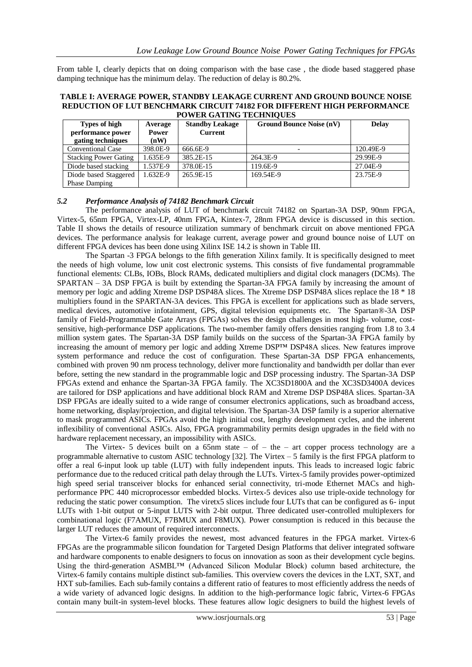From table I, clearly depicts that on doing comparison with the base case , the diode based staggered phase damping technique has the minimum delay. The reduction of delay is 80.2%.

#### **TABLE I: AVERAGE POWER, STANDBY LEAKAGE CURRENT AND GROUND BOUNCE NOISE REDUCTION OF LUT BENCHMARK CIRCUIT 74182 FOR DIFFERENT HIGH PERFORMANCE POWER GATING TECHNIQUES**

| Types of high<br>performance power<br>gating techniques | Average<br><b>Power</b><br>(nW) | <b>Standby Leakage</b><br><b>Current</b> | <b>Ground Bounce Noise (nV)</b> | <b>Delay</b> |  |
|---------------------------------------------------------|---------------------------------|------------------------------------------|---------------------------------|--------------|--|
| <b>Conventional Case</b>                                | 398.0E-9                        | 666.6E-9                                 |                                 | 120.49E-9    |  |
| <b>Stacking Power Gating</b>                            | 1.635E-9                        | 385.2E-15                                | 264.3E-9                        | 29.99E-9     |  |
| Diode based stacking                                    | 1.537E-9                        | 378.0E-15                                | 119.6E-9                        | 27.04E-9     |  |
| 1.632E-9<br>Diode based Staggered                       |                                 | 265.9E-15                                | 169.54E-9                       | 23.75E-9     |  |
| Phase Damping                                           |                                 |                                          |                                 |              |  |

#### *5.2 Performance Analysis of 74182 Benchmark Circuit*

The performance analysis of LUT of benchmark circuit 74182 on Spartan-3A DSP, 90nm FPGA, Virtex-5, 65nm FPGA, Virtex-LP, 40nm FPGA, Kintex-7, 28nm FPGA device is discussed in this section. Table II shows the details of resource utilization summary of benchmark circuit on above mentioned FPGA devices. The performance analysis for leakage current, average power and ground bounce noise of LUT on different FPGA devices has been done using Xilinx ISE 14.2 is shown in Table III.

The Spartan -3 FPGA belongs to the fifth generation Xilinx family. It is specifically designed to meet the needs of high volume, low unit cost electronic systems. This consists of five fundamental programmable functional elements: CLBs, IOBs, Block RAMs, dedicated multipliers and digital clock managers (DCMs). The SPARTAN – 3A DSP FPGA is built by extending the Spartan-3A FPGA family by increasing the amount of memory per logic and adding Xtreme DSP DSP48A slices. The Xtreme DSP DSP48A slices replace the 18 \* 18 multipliers found in the SPARTAN-3A devices. This FPGA is excellent for applications such as blade servers, medical devices, automotive infotainment, GPS, digital television equipments etc. The Spartan®-3A DSP family of Field-Programmable Gate Arrays (FPGAs) solves the design challenges in most high- volume, costsensitive, high-performance DSP applications. The two-member family offers densities ranging from 1.8 to 3.4 million system gates. The Spartan-3A DSP family builds on the success of the Spartan-3A FPGA family by increasing the amount of memory per logic and adding Xtreme DSP™ DSP48A slices. New features improve system performance and reduce the cost of configuration. These Spartan-3A DSP FPGA enhancements, combined with proven 90 nm process technology, deliver more functionality and bandwidth per dollar than ever before, setting the new standard in the programmable logic and DSP processing industry. The Spartan-3A DSP FPGAs extend and enhance the Spartan-3A FPGA family. The XC3SD1800A and the XC3SD3400A devices are tailored for DSP applications and have additional block RAM and Xtreme DSP DSP48A slices. Spartan-3A DSP FPGAs are ideally suited to a wide range of consumer electronics applications, such as broadband access, home networking, display/projection, and digital television. The Spartan-3A DSP family is a superior alternative to mask programmed ASICs. FPGAs avoid the high initial cost, lengthy development cycles, and the inherent inflexibility of conventional ASICs. Also, FPGA programmability permits design upgrades in the field with no hardware replacement necessary, an impossibility with ASICs.

The Virtex- 5 devices built on a 65nm state – of – the – art copper process technology are a programmable alternative to custom ASIC technology [32]. The Virtex – 5 family is the first FPGA platform to offer a real 6-input look up table (LUT) with fully independent inputs. This leads to increased logic fabric performance due to the reduced critical path delay through the LUTs. Virtex-5 family provides power-optimized high speed serial transceiver blocks for enhanced serial connectivity, tri-mode Ethernet MACs and highperformance PPC 440 microprocessor embedded blocks. Virtex-5 devices also use triple-oxide technology for reducing the static power consumption. The viretx5 slices include four LUTs that can be configured as 6- input LUTs with 1-bit output or 5-input LUTS with 2-bit output. Three dedicated user-controlled multiplexers for combinational logic (F7AMUX, F7BMUX and F8MUX). Power consumption is reduced in this because the larger LUT reduces the amount of required interconnects.

The Virtex-6 family provides the newest, most advanced features in the FPGA market. Virtex-6 FPGAs are the programmable silicon foundation for Targeted Design Platforms that deliver integrated software and hardware components to enable designers to focus on innovation as soon as their development cycle begins. Using the third-generation ASMBL™ (Advanced Silicon Modular Block) column based architecture, the Virtex-6 family contains multiple distinct sub-families. This overview covers the devices in the LXT, SXT, and HXT sub-families. Each sub-family contains a different ratio of features to most efficiently address the needs of a wide variety of advanced logic designs. In addition to the high-performance logic fabric, Virtex-6 FPGAs contain many built-in system-level blocks. These features allow logic designers to build the highest levels of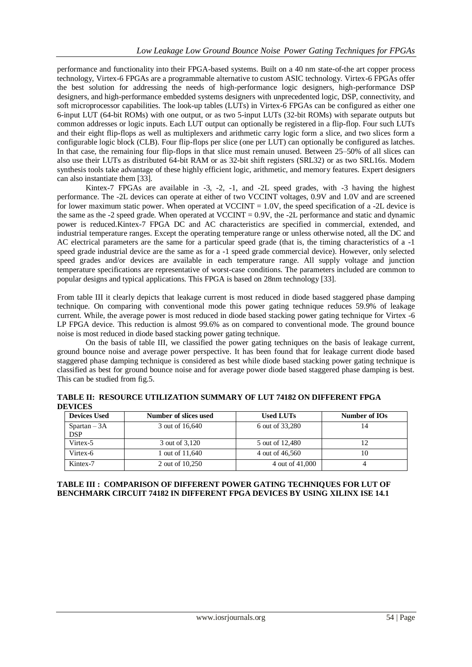performance and functionality into their FPGA-based systems. Built on a 40 nm state-of-the art copper process technology, Virtex-6 FPGAs are a programmable alternative to custom ASIC technology. Virtex-6 FPGAs offer the best solution for addressing the needs of high-performance logic designers, high-performance DSP designers, and high-performance embedded systems designers with unprecedented logic, DSP, connectivity, and soft microprocessor capabilities. The look-up tables (LUTs) in Virtex-6 FPGAs can be configured as either one 6-input LUT (64-bit ROMs) with one output, or as two 5-input LUTs (32-bit ROMs) with separate outputs but common addresses or logic inputs. Each LUT output can optionally be registered in a flip-flop. Four such LUTs and their eight flip-flops as well as multiplexers and arithmetic carry logic form a slice, and two slices form a configurable logic block (CLB). Four flip-flops per slice (one per LUT) can optionally be configured as latches. In that case, the remaining four flip-flops in that slice must remain unused. Between 25–50% of all slices can also use their LUTs as distributed 64-bit RAM or as 32-bit shift registers (SRL32) or as two SRL16s. Modern synthesis tools take advantage of these highly efficient logic, arithmetic, and memory features. Expert designers can also instantiate them [33].

Kintex-7 FPGAs are available in -3, -2, -1, and -2L speed grades, with -3 having the highest performance. The -2L devices can operate at either of two VCCINT voltages, 0.9V and 1.0V and are screened for lower maximum static power. When operated at VCCINT  $= 1.0V$ , the speed specification of a -2L device is the same as the -2 speed grade. When operated at VCCINT = 0.9V, the -2L performance and static and dynamic power is reduced.Kintex-7 FPGA DC and AC characteristics are specified in commercial, extended, and industrial temperature ranges. Except the operating temperature range or unless otherwise noted, all the DC and AC electrical parameters are the same for a particular speed grade (that is, the timing characteristics of a -1 speed grade industrial device are the same as for a -1 speed grade commercial device). However, only selected speed grades and/or devices are available in each temperature range. All supply voltage and junction temperature specifications are representative of worst-case conditions. The parameters included are common to popular designs and typical applications. This FPGA is based on 28nm technology [33].

From table III it clearly depicts that leakage current is most reduced in diode based staggered phase damping technique. On comparing with conventional mode this power gating technique reduces 59.9% of leakage current. While, the average power is most reduced in diode based stacking power gating technique for Virtex -6 LP FPGA device. This reduction is almost 99.6% as on compared to conventional mode. The ground bounce noise is most reduced in diode based stacking power gating technique.

On the basis of table III, we classified the power gating techniques on the basis of leakage current, ground bounce noise and average power perspective. It has been found that for leakage current diode based staggered phase damping technique is considered as best while diode based stacking power gating technique is classified as best for ground bounce noise and for average power diode based staggered phase damping is best. This can be studied from fig.5.

**TABLE II: RESOURCE UTILIZATION SUMMARY OF LUT 74182 ON DIFFERENT FPGA DEVICES**

| <b>Devices Used</b>          | Number of slices used | <b>Used LUTs</b> | Number of IOs |
|------------------------------|-----------------------|------------------|---------------|
| $Spartan - 3A$<br><b>DSP</b> | 3 out of 16,640       | 6 out of 33,280  | 14            |
| Virtex-5                     | 3 out of 3.120        | 5 out of 12,480  |               |
| Virtex-6                     | 1 out of 11,640       | 4 out of 46,560  | 10            |
| Kintex-7                     | 2 out of 10,250       | 4 out of 41,000  |               |

#### **TABLE III : COMPARISON OF DIFFERENT POWER GATING TECHNIQUES FOR LUT OF BENCHMARK CIRCUIT 74182 IN DIFFERENT FPGA DEVICES BY USING XILINX ISE 14.1**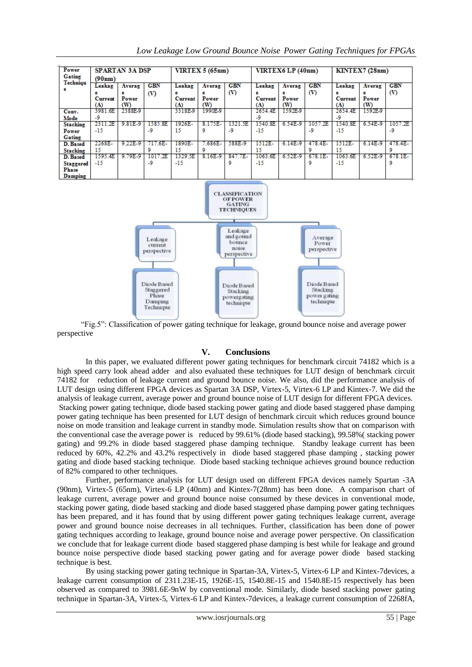| Power<br>Gating                                                  | <b>SPARTAN 3A DSP</b>      |                   | <b>VIRTEX 5 (65nm)</b> |                | VIRTEX6 LP (40nm) |            | KINTEX7(28nm)  |                   |            |                |            |            |
|------------------------------------------------------------------|----------------------------|-------------------|------------------------|----------------|-------------------|------------|----------------|-------------------|------------|----------------|------------|------------|
| Techniqu                                                         | (90nm)<br>Leakag<br>Averag |                   | <b>CBN</b>             | Leakag         | Averag            | <b>CBN</b> | Leakag         | Averag            | <b>CBN</b> | Leakag         | Averag     | <b>CBN</b> |
|                                                                  | Current<br>(A)             | е<br>Power<br>(W) | (V)                    | Current<br>(A) | Power<br>(W)      | $\infty$   | Current<br>(A) | е<br>Power<br>(W) | $\infty$   | Current<br>(A) | Power<br>൜ | $\infty$   |
| Conv.                                                            | 3981.6E                    | 2388E.9           |                        | 3318E.9        | 1990E.9           |            | 2654.4E        | 1592E.9           |            | 2654.4E        | 1592E.9    |            |
| Mode                                                             | -9                         |                   |                        |                |                   |            | -9             |                   |            | -9             |            |            |
| <b>Stacking</b>                                                  | 2311.2E                    | 9.81E-9           | 1585.8E                | 1926E-         | 8.175E-           | 1321.5E    | 1540.8E        | 6.54E-9           | .2E<br>105 | 1540.8E        | 6.54E-9    | 1057.2E    |
| Power                                                            | -15                        |                   | -9                     | 15             | 9                 | -9         | -15            |                   | -9         | -15            |            | -9         |
| Gating                                                           |                            |                   |                        |                |                   |            |                |                   |            |                |            |            |
| D. Based                                                         | 2268E-                     | 9.22E-9           | $.6E-$                 | 1890E-         | .686E-            | 588E-9     | 1512E-         | 6.14E-9           | 478.4E-    | 1512E-         | 6.14E-9    | 478.4E-    |
| <b>Stacking</b>                                                  | 15                         |                   |                        | 15             |                   |            | 15             |                   |            | 15             |            |            |
| D. Based                                                         | 1595.4E                    | 9.79E-9           | 1.2E<br>101            | 1329.5E        | 8.16E-9           | 847.7E-    | 1063.6E        | 6.52E-9           | $678.1E -$ | 1063.6E        | 6.52E-9    | $678.1E -$ |
| <b>Staggered</b><br>Phase<br>$D$ <sub>aman</sub> t <sub>ua</sub> | -15                        |                   | -9                     | -15            |                   | ۰          | -15            |                   | ۰          | -15            |            | ٥          |

*Low Leakage Low Ground Bounce Noise Power Gating Techniques for FPGAs*



 "Fig.5": Classification of power gating technique for leakage, ground bounce noise and average power perspective

# **V. Conclusions**

In this paper, we evaluated different power gating techniques for benchmark circuit 74182 which is a high speed carry look ahead adder and also evaluated these techniques for LUT design of benchmark circuit 74182 for reduction of leakage current and ground bounce noise. We also, did the performance analysis of LUT design using different FPGA devices as Spartan 3A DSP, Virtex-5, Virtex-6 LP and Kintex-7. We did the analysis of leakage current, average power and ground bounce noise of LUT design for different FPGA devices. Stacking power gating technique, diode based stacking power gating and diode based staggered phase damping power gating technique has been presented for LUT design of benchmark circuit which reduces ground bounce noise on mode transition and leakage current in standby mode. Simulation results show that on comparison with the conventional case the average power is reduced by 99.61% (diode based stacking), 99.58%( stacking power gating) and 99.2% in diode based staggered phase damping technique. Standby leakage current has been reduced by 60%, 42.2% and 43.2% respectively in diode based staggered phase damping , stacking power gating and diode based stacking technique. Diode based stacking technique achieves ground bounce reduction of 82% compared to other techniques.

Further, performance analysis for LUT design used on different FPGA devices namely Spartan -3A (90nm), Virtex-5 (65nm), Virtex-6 LP (40nm) and Kintex-7(28nm) has been done*.* A comparison chart of leakage current, average power and ground bounce noise consumed by these devices in conventional mode, stacking power gating, diode based stacking and diode based staggered phase damping power gating techniques has been prepared, and it has found that by using different power gating techniques leakage current, average power and ground bounce noise decreases in all techniques. Further, classification has been done of power gating techniques according to leakage, ground bounce noise and average power perspective. On classification we conclude that for leakage current diode based staggered phase damping is best while for leakage and ground bounce noise perspective diode based stacking power gating and for average power diode based stacking technique is best.

By using stacking power gating technique in Spartan-3A, Virtex-5, Virtex-6 LP and Kintex-7devices, a leakage current consumption of 2311.23E-15, 1926E-15, 1540.8E-15 and 1540.8E-15 respectively has been observed as compared to 3981.6E-9nW by conventional mode. Similarly, diode based stacking power gating technique in Spartan-3A, Virtex-5, Virtex-6 LP and Kintex-7devices, a leakage current consumption of 2268fA,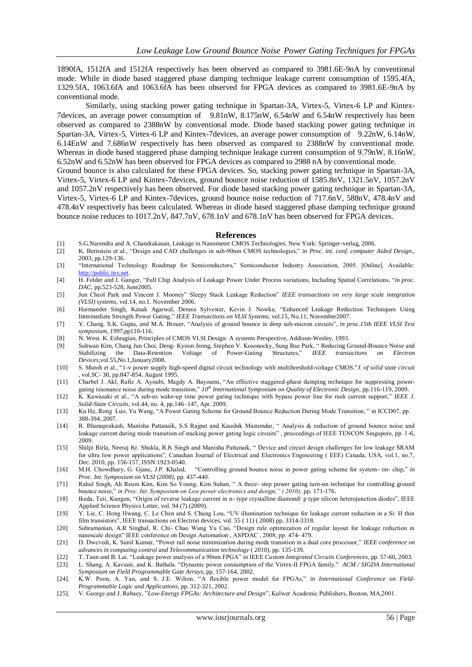1890fA, 1512fA and 1512fA respectively has been observed as compared to 3981.6E-9nA by conventional mode. While in diode based staggered phase damping technique leakage current consumption of 1595.4fA, 1329.5fA, 1063.6fA and 1063.6fA has been observed for FPGA devices as compared to 3981.6E-9nA by conventional mode.

Similarly, using stacking power gating technique in Spartan-3A, Virtex-5, Virtex-6 LP and Kintex-7devices, an average power consumption of 9.81nW, 8.175nW, 6.54nW and 6.54nW respectively has been observed as compared to 2388nW by conventional mode. Diode based stacking power gating technique in Spartan-3A, Virtex-5, Virtex-6 LP and Kintex-7devices, an average power consumption of 9.22nW, 6.14nW, 6.14EnW and 7.686nW respectively has been observed as compared to 2388nW by conventional mode. Whereas in diode based staggered phase damping technique leakage current consumption of 9.79nW, 8.16nW, 6.52nW and 6.52nW has been observed for FPGA devices as compared to 2988 nA by conventional mode.

Ground bounce is also calculated for these FPGA devices. So, stacking power gating technique in Spartan-3A, Virtex-5, Virtex-6 LP and Kintex-7devices, ground bounce noise reduction of 1585.8nV, 1321.5nV, 1057.2nV and 1057.2nV respectively has been observed. For diode based stacking power gating technique in Spartan-3A, Virtex-5, Virtex-6 LP and Kintex-7devices, ground bounce noise reduction of 717.6nV, 588nV, 478.4nV and 478.4nV respectively has been calculated. Whereas in diode based staggered phase damping technique ground bounce noise reduces to 1017.2nV, 847.7nV, 678.1nV and 678.1nV has been observed for FPGA devices.

#### **References**

- [1] S.G.Narendra and A. Chandrakasan, Leakage in Nanometer CMOS Technologies. New York: Springer-verlag, 2006.
- [2] K. Bernstein et al., "Design and CAD challenges in sub-90nm CMOS technologies," *in Proc. int. conf. computer Aided Design*., 2003, pp.129-136.
- [3] "International Technology Roadmap for Semiconductors," Semiconductor Industry Association, 2005. [Online]. Available: [http://public.itrs.net.](http://public.itrs.net/)
- [4] H. Felder and J. Ganger, "Full Chip Analysis of Leakage Power Under Process variations, Including Spatial Correlations, "in *proc. DAC*, pp.523-528, June2005.
- [5] Jun Cheol Park and Vincent J. Mooney" Sleepy Stack Leakage Reduction" *IEEE transactions on very large scale integration (VLSI) systems*, vol.14, no.1. November 2006.
- [6] Harmander Singh, Kanak Agarwal, Dennis Sylvester, Kevin J. Nowka, "Enhanced Leakage Reduction Techniques Using Intermediate Strength Power Gating," *IEEE Transactions on VLSI Systems,* vol.15, No.11, November2007.
- [7] Y. Chang. S.K. Gupta, and M.A. Breuer, "Analysis of ground bounce in deep sub-micron circuits", *in proc.15th IEEE VLSI Test symposium, 1997,*pp110-116.
- [8] N. West. K. Eshragian, Principles of CMOS VLSI Design: A systems Perspective, Addison-Wesley, 1993.
- [9] Suhwan Kim, Chang Jun Choi, Deog- Kyoon Jeong, Stephen V. Kosonocky, Sung Bae Park, "Reducing Ground-Bounce Noise and Stabilizing the Data-Retention Voltage of Power-Gating Structures," IEEE transactions on Electron Stabilizing the Data-Retention Voltage of Power-Gating Structures," *IEEE transactions on Electron Devices*,vol.55,No.1,January2008.
- [10] S. Mutoh et al., "1-v power supply high-speed digital circuit technology with multihreshold-voltage CMOS."*J. of solid state circuit ,* vol.SC- 30, pp.847-854, August 1995.
- [11] Charbel J. Akl, Rafic A. Ayoubi, Magdy A. Bayoumi, "An effective staggered-phase damping technique for suppressing power-
- gating resonance noise during mode transition," *10th International Symposium on Quality of Electronic Design*, pp.116-119, 2009. [12] K. Kawasaki et al., "A sub-us wake-up time power gating technique with bypass power line for rush current support," *IEEE J. Solid-State Circuits,* vol.44, no. 4, pp.146–147, Apr. 2009.
- [13] Ku He, Rong Luo, Yu Wang, "A Power Gating Scheme for Ground Bounce Reduction During Mode Transition, " in ICCD07, pp. 388-394, 2007.
- [14] R. Bhanuprakash, Manisha Pattanaik, S.S Rajput and Kaushik Mazumdar, " Analysis & reduction of ground bounce noise and leakage current during mode transition of stacking power gating logic circuits" , proceedings of IEEE TENCON Singapore, pp. 1-6, 2009.
- [15] Shilpi Birla, Neeraj Kr. Shukla, R.K Singh and Manisha Pattanaik, " Device and circuit design challenges for low leakage SRAM for ultra low power applications", Canadian Journal of Electrical and Electronics Engineering (EEE) Canada, USA, vol.1, no.7, Dec. 2010, pp. 156-157, ISSN:1923-0540.
- [16] M.H. Chowdhary, G. Gjanc, J.P. Khaled, "Controlling ground bounce noise in power gating scheme for system- on- chip," *in Proc. Int. Symposium on VLSI (2008)*, pp. 437-440.
- [71] Rahul Singh, Ah Reum Kim, Kim So Young, Kim Suhan, " A three- step power gating turn-on technique for controlling ground bounce noise," *in Proc. Int. Symposium on Low power electronics and design," ( 2010),* pp. 171-176.
- [18] Ikeda, Teii, Kungen, "Origin of reverse leakage current in n- type crystalline diamond/ p type silicon heterojunction diodes", IEEE Applied Science Physics Letter, vol. 94 (7) (2009).
- [19] Y. Lie, C. Hong Hwang, C. Le Chen and S. Chung Lou, "UV illumination technique for leakage current reduction in a Si: H thin film transistors", IEEE transactions on Electron devices, vol. 55 ( 11) ( 2008) pp. 3314-3318.
- [20] Subramanian, A.R Singhal, R. Chi- Chao Wang Yu Cao, "Design rule optimization of regular layout for leakage reduction in nanoscale design" IEEE conference on Design Automation , ASPDAC , 2008, pp. 474- 479.
- [21] D. Dwevedi, K. Sunil Kumar, "Power rail noise minimization during mode transition in a dual core processor," *IEEE conference on advances in computing control and Telecommunication technology* ( *2010)*, pp. 135-139.
- [22] T. Taun and B. Lai. "Leakage power analysis of a 90nm FPGA" in IEEE *Custom Integrated Circuits Conferences*, pp. 57-60, 2003.
- [23] L. Shang, A. Kaviani, and K. Bathala. "Dynamic power consumption of the Virtex-II FPGA family." *ACM / SIGDA International Symposium on Field Programmable Gate Arrays,* pp. 157-164, 2002.
- [24]. K.W. Poon, A. Yan, and S. J.E. Wilton. "A flexible power model for FPGAs," *in International Conference on Field-Programmable Logic and Applications*, pp. 312-321, 2002.
- [25]. V. George and J. Rabaey, "*Low-Energy FPGAs: Architecture and Design*", Kulwer Academic Publishers, Boston, MA,2001.